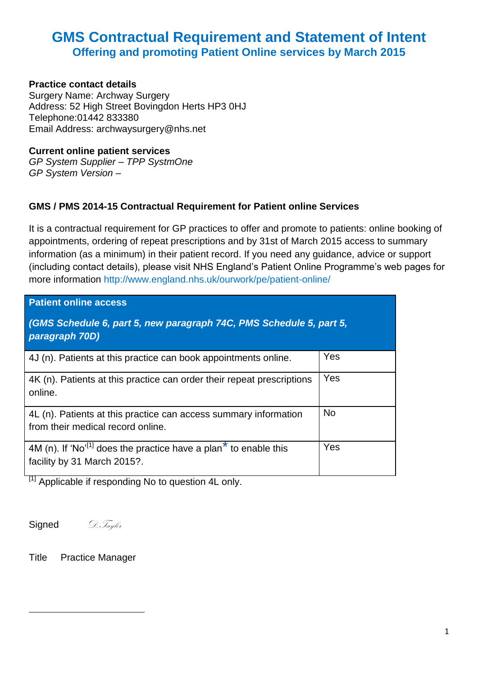# **GMS Contractual Requirement and Statement of Intent Offering and promoting Patient Online services by March 2015**

# **Practice contact details**

Surgery Name: Archway Surgery Address: 52 High Street Bovingdon Herts HP3 0HJ Telephone:01442 833380 Email Address: archwaysurgery@nhs.net

### **Current online patient services**

*GP System Supplier – TPP SystmOne GP System Version –*

# **GMS / PMS 2014-15 Contractual Requirement for Patient online Services**

It is a contractual requirement for GP practices to offer and promote to patients: online booking of appointments, ordering of repeat prescriptions and by 31st of March 2015 access to summary information (as a minimum) in their patient record. If you need any guidance, advice or support (including contact details), please visit NHS England's Patient Online Programme's web pages for more information http://www.england.nhs.uk/ourwork/pe/patient-online/

| <b>Patient online access</b>                                                                                            |           |  |
|-------------------------------------------------------------------------------------------------------------------------|-----------|--|
| (GMS Schedule 6, part 5, new paragraph 74C, PMS Schedule 5, part 5,<br>paragraph 70D)                                   |           |  |
| 4J (n). Patients at this practice can book appointments online.                                                         | Yes       |  |
| 4K (n). Patients at this practice can order their repeat prescriptions<br>online.                                       | Yes       |  |
| 4L (n). Patients at this practice can access summary information<br>from their medical record online.                   | <b>No</b> |  |
| 4M (n). If 'No' <sup>[1]</sup> does the practice have a plan <sup>*</sup> to enable this<br>facility by 31 March 2015?. | Yes       |  |

 $[1]$  Applicable if responding No to question 4L only.

Signed *D.Taylor* 

**.** 

Title Practice Manager